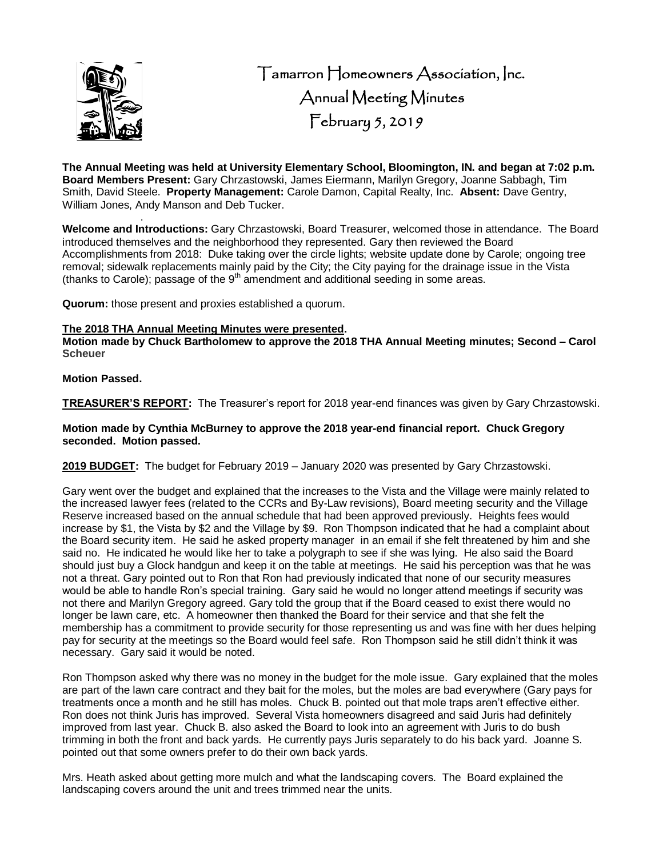

 Tamarron Homeowners Association, Inc. Annual Meeting Minutes February 5, 2019

**The Annual Meeting was held at University Elementary School, Bloomington, IN. and began at 7:02 p.m. Board Members Present:** Gary Chrzastowski, James Eiermann, Marilyn Gregory, Joanne Sabbagh, Tim Smith, David Steele. **Property Management:** Carole Damon, Capital Realty, Inc. **Absent:** Dave Gentry, William Jones, Andy Manson and Deb Tucker.

. **Welcome and Introductions:** Gary Chrzastowski, Board Treasurer, welcomed those in attendance. The Board introduced themselves and the neighborhood they represented. Gary then reviewed the Board Accomplishments from 2018: Duke taking over the circle lights; website update done by Carole; ongoing tree removal; sidewalk replacements mainly paid by the City; the City paying for the drainage issue in the Vista (thanks to Carole); passage of the  $9<sup>th</sup>$  amendment and additional seeding in some areas.

**Quorum:** those present and proxies established a quorum.

#### **The 2018 THA Annual Meeting Minutes were presented.**

**Motion made by Chuck Bartholomew to approve the 2018 THA Annual Meeting minutes; Second – Carol Scheuer**

## **Motion Passed.**

**TREASURER'S REPORT:** The Treasurer's report for 2018 year-end finances was given by Gary Chrzastowski.

### **Motion made by Cynthia McBurney to approve the 2018 year-end financial report. Chuck Gregory seconded. Motion passed.**

**2019 BUDGET:** The budget for February 2019 – January 2020 was presented by Gary Chrzastowski.

Gary went over the budget and explained that the increases to the Vista and the Village were mainly related to the increased lawyer fees (related to the CCRs and By-Law revisions), Board meeting security and the Village Reserve increased based on the annual schedule that had been approved previously. Heights fees would increase by \$1, the Vista by \$2 and the Village by \$9. Ron Thompson indicated that he had a complaint about the Board security item. He said he asked property manager in an email if she felt threatened by him and she said no. He indicated he would like her to take a polygraph to see if she was lying. He also said the Board should just buy a Glock handgun and keep it on the table at meetings. He said his perception was that he was not a threat. Gary pointed out to Ron that Ron had previously indicated that none of our security measures would be able to handle Ron's special training. Gary said he would no longer attend meetings if security was not there and Marilyn Gregory agreed. Gary told the group that if the Board ceased to exist there would no longer be lawn care, etc. A homeowner then thanked the Board for their service and that she felt the membership has a commitment to provide security for those representing us and was fine with her dues helping pay for security at the meetings so the Board would feel safe. Ron Thompson said he still didn't think it was necessary. Gary said it would be noted.

Ron Thompson asked why there was no money in the budget for the mole issue. Gary explained that the moles are part of the lawn care contract and they bait for the moles, but the moles are bad everywhere (Gary pays for treatments once a month and he still has moles. Chuck B. pointed out that mole traps aren't effective either. Ron does not think Juris has improved. Several Vista homeowners disagreed and said Juris had definitely improved from last year. Chuck B. also asked the Board to look into an agreement with Juris to do bush trimming in both the front and back yards. He currently pays Juris separately to do his back yard. Joanne S. pointed out that some owners prefer to do their own back yards.

Mrs. Heath asked about getting more mulch and what the landscaping covers. The Board explained the landscaping covers around the unit and trees trimmed near the units.